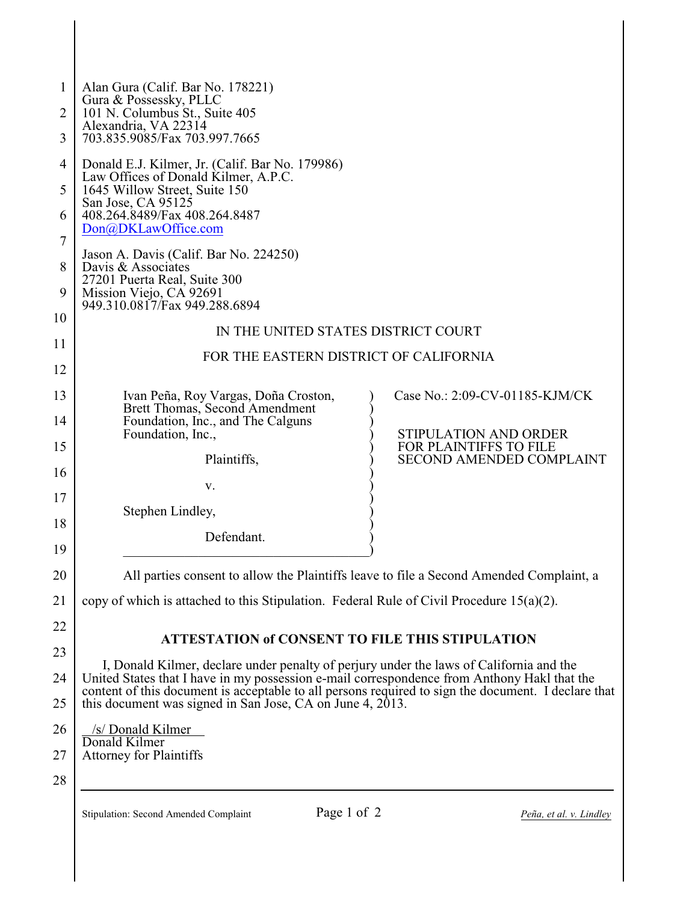| 1<br>$\overline{2}$<br>3         | Alan Gura (Calif. Bar No. 178221)<br>Gura & Possessky, PLLC<br>101 N. Columbus St., Suite 405<br>Alexandria, VA 22314<br>703.835.9085/Fax 703.997.7665                                                                                                                                                                                                                                                    |  |  |
|----------------------------------|-----------------------------------------------------------------------------------------------------------------------------------------------------------------------------------------------------------------------------------------------------------------------------------------------------------------------------------------------------------------------------------------------------------|--|--|
| 4<br>5<br>6<br>7<br>8<br>9<br>10 | Donald E.J. Kilmer, Jr. (Calif. Bar No. 179986)<br>Law Offices of Donald Kilmer, A.P.C.<br>1645 Willow Street, Suite 150<br>San Jose, CA 95125<br>408.264.8489/Fax 408.264.8487<br>Don@DKLawOffice.com<br>Jason A. Davis (Calif. Bar No. 224250)<br>Davis & Associates<br>27201 Puerta Real, Suite 300<br>Mission Viejo, CA 92691<br>949.310.0817/Fax 949.288.6894<br>IN THE UNITED STATES DISTRICT COURT |  |  |
| 11                               |                                                                                                                                                                                                                                                                                                                                                                                                           |  |  |
| 12                               | FOR THE EASTERN DISTRICT OF CALIFORNIA                                                                                                                                                                                                                                                                                                                                                                    |  |  |
| 13<br>14                         | Ivan Peña, Roy Vargas, Doña Croston,<br>Case No.: 2:09-CV-01185-KJM/CK<br>Brett Thomas, Second Amendment<br>Foundation, Inc., and The Calguns                                                                                                                                                                                                                                                             |  |  |
| 15                               | Foundation, Inc.,<br>STIPULATION AND ORDER<br><b>FOR PLAINTIFFS TO FILE</b>                                                                                                                                                                                                                                                                                                                               |  |  |
|                                  | Plaintiffs,<br><b>SECOND AMENDED COMPLAINT</b>                                                                                                                                                                                                                                                                                                                                                            |  |  |
| 16                               |                                                                                                                                                                                                                                                                                                                                                                                                           |  |  |
| 17                               | V.                                                                                                                                                                                                                                                                                                                                                                                                        |  |  |
|                                  | Stephen Lindley,                                                                                                                                                                                                                                                                                                                                                                                          |  |  |
| 18                               | Defendant.                                                                                                                                                                                                                                                                                                                                                                                                |  |  |
| 19                               |                                                                                                                                                                                                                                                                                                                                                                                                           |  |  |
| 20                               | All parties consent to allow the Plaintiffs leave to file a Second Amended Complaint, a                                                                                                                                                                                                                                                                                                                   |  |  |
| 21                               | copy of which is attached to this Stipulation. Federal Rule of Civil Procedure $15(a)(2)$ .                                                                                                                                                                                                                                                                                                               |  |  |
| 22                               | <b>ATTESTATION of CONSENT TO FILE THIS STIPULATION</b>                                                                                                                                                                                                                                                                                                                                                    |  |  |
| 23                               |                                                                                                                                                                                                                                                                                                                                                                                                           |  |  |
| 24                               | I, Donald Kilmer, declare under penalty of perjury under the laws of California and the<br>United States that I have in my possession e-mail correspondence from Anthony Hakl that the                                                                                                                                                                                                                    |  |  |
| 25                               | content of this document is acceptable to all persons required to sign the document. I declare that<br>this document was signed in San Jose, CA on June 4, 2013.                                                                                                                                                                                                                                          |  |  |
| 26                               | /s/ Donald Kilmer                                                                                                                                                                                                                                                                                                                                                                                         |  |  |
| 27                               | Donald Kilmer<br><b>Attorney for Plaintiffs</b>                                                                                                                                                                                                                                                                                                                                                           |  |  |
|                                  |                                                                                                                                                                                                                                                                                                                                                                                                           |  |  |
| 28                               |                                                                                                                                                                                                                                                                                                                                                                                                           |  |  |
|                                  | Page 1 of 2<br>Stipulation: Second Amended Complaint<br>Peña, et al. v. Lindley                                                                                                                                                                                                                                                                                                                           |  |  |